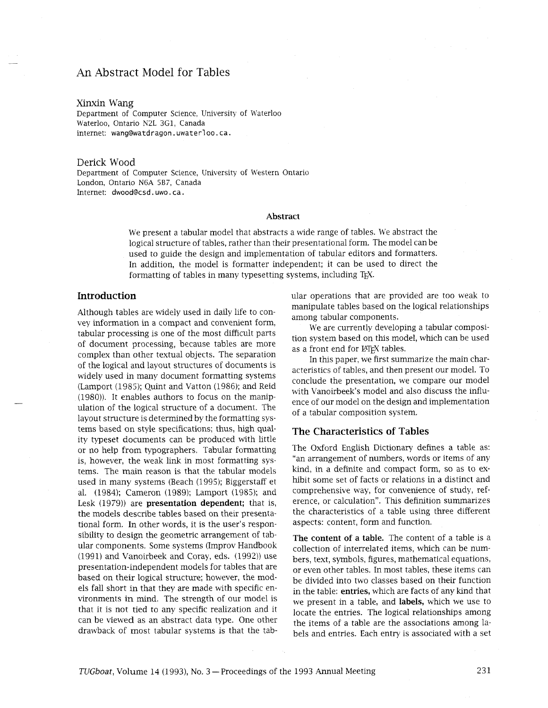# An Abstract Model for Tables

#### Xinxin Wang

Department of Computer Science, University of Waterloo Waterloo, Ontario N2L 3G1, Canada internet: wangewatdragon. uwaterloo. ca.

#### Derick Wood

Department of Computer Science, University of Western Ontario London, Ontario N6A 5B7, Canada Internet: dwood@csd.uwo.ca.

## **Abstract**

We present a tabular model that abstracts a wide range of tables. We abstract the logical structure of tables, rather than their presentational form. The model can be used to guide the design and implementation of tabular editors and formatters. In addition, the model is formatter independent; it can be used to direct the formatting of tables in many typesetting systems, including T<sub>EX</sub>.

# **Introduction**

Although tables are widely used in daily life to convey information in a compact and convenient form, tabular processing is one of the most difficult parts of document processing, because tables are more complex than other textual objects. The separation of the logical and layout structures of documents is widely used in many document formatting systems (Lamport (1985); Quint and Vatton (1986); and Reid (1980)). It enables authors to focus on the manipulation of the logical structure of a document. The layout structure is determined by the formatting systems based on style specifications; thus, high quality typeset documents can be produced with little or no help from typographers. Tabular formatting is, however, the weak link in most formatting systems. The main reason is that the tabular models used in many systems (Beach (1995); Biggerstaff et al. (1984); Cameron (1989); Lamport (1985); and Lesk (1979)) are **presentation dependent;** that is, the models describe tables based on their presentational form. In other words, it is the user's responsibility to design the geometric arrangement of tabular components. Some systems (Improv Handbook (1991) and Vanoirbeek and Coray, eds. (1992)) use presentation-independent models for tables that are based on their logical structure; however, the models fall short in that they are made with specific environments in mind. The strength of our model is that it is not tied to any specific realization and it can be viewed as an abstract data type. One other drawback of most tabular systems is that the tabular operations that are provided are too weak to manipulate tables based on the logical relationships among tabular components.

We are currently developing a tabular composition system based on this model, which can be used as a front end for LAT<sub>E</sub>X tables.

In this paper, we first summarize the main characteristics of tables, and then present our model. To conclude the presentation, we compare our model with Vanoirbeek's model and also discuss the influence of our model on the design and implementation of a tabular composition system.

## **The Characteristics of Tables**

The Oxford English Dictionary defines a table as: "an arrangement of numbers, words or items of any kind, in a definite and compact form, so as to exhibit some set of facts or relations in a distinct and comprehensive way, for convenience of study, reference, or calculation". This definition summarizes the characteristics of a table using three different aspects: content, form and function.

**The content of a table.** The content of a table is a collection of inrerrelated items, which can be numbers, text, symbols, figures, mathematical equations, or even other tables. In most tables, these items can be divided into two classes based on their function in the table: **entries,** which are facts of any kind that we present in a table, and **labels,** which we use to locate the entries. The logical relationships among the items of a table are the associations among labels and entries. Each entry is associated with a set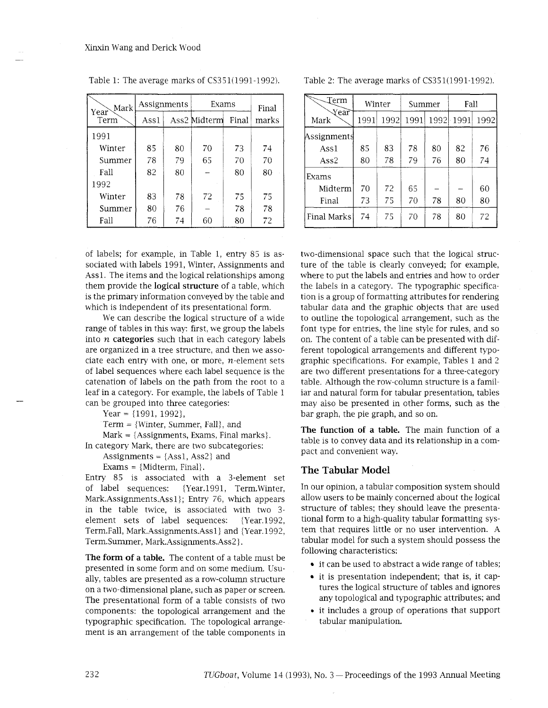| Mark         | Assignments |    | Exams        | Final |       |
|--------------|-------------|----|--------------|-------|-------|
| Year<br>Term | Assl        |    | Ass2 Midterm | Final | marks |
| 1991         |             |    |              |       |       |
| Winter       | 85          | 80 | 70           | 73    | 74    |
| Summer       | 78          | 79 | 65           | 70    | 70    |
| Fall         | 82          | 80 |              | 80    | 80    |
| 1992         |             |    |              |       |       |
| Winter       | 83          | 78 | 72           | 75    | 75    |
| Summer       | 80          | 76 |              | 78    | 78    |
| Fall         | 76          | 74 | 60           | 80    | 72    |

Table 1: The average marks of  $CS351(1991-1992)$ .

of labels; for example, in Table 1, entry 85 is associated with labels 1991, Winter, Assignments and Assl. The items and the logical relationships among them provide the **logical structure** of a table, which is the primary information conveyed by the table and which is independent of its presentational form.

We can describe the logical structure of a wide range of tables in this way: first, we group the labels into n **categories** such that in each category labels are organized in a tree structure, and then we associate each entry with one, or more,  $n$ -element sets of label sequences where each label sequence is the catenation of labels on the path from the root to a leaf in a category. For example, the labels of Table 1 can be grouped into three categories:

Year =  ${1991, 1992}$ ,

Term  $=$  {Winter, Summer, Fall}, and

 $Mark = \{Assignments, Exams, Final marks\}.$ In category Mark, there are two subcategories:

Assignments =  ${Ass1, Ass2}$  and

Exams = {Midterm, Final}.

Entry 85 is associated with a 3-element set of label sequences: {Year.1991, Term.Winter, Mark.Assignments.Ass1); Entry *76,* whch appears in the table twice, is associated with two 3 element sets of label sequences: {Year.1992, Term.Fall, Mark.Assignments.Ass1} and {Year.1992, Term.Summer, Mark.Assignments.Ass2}.

**The form of a table.** The content of a table must be presented in some form and on some medium. Usually, tables are presented as a row-column structure on a two-dimensional plane, such as paper or screen. The presentational form of a table consists of two components: the topological arrangement and the typographic specification. The topological arrangement is an arrangement of the table components in Table 2: The average marks of  $CS351(1991-1992)$ .

| Term         | Winter |      | Summer |      | Fall |      |
|--------------|--------|------|--------|------|------|------|
| Year<br>Mark | 1991   | 1992 | 1991   | 1992 | 1991 | 1992 |
| Assignments  |        |      |        |      |      |      |
| Ass1         | 85     | 83   | 78     | 80   | 82   | 76   |
| Ass2         | 80     | 78   | 79     | 76   | 80   | 74   |
| Exams        |        |      |        |      |      |      |
| Midterm      | 70     | 72   | 65     |      |      | 60   |
| Final        | 73     | 75   | 70     | 78   | 80   | 80   |
| Final Marks  | 74     | 75   | 70     | 78   | 80   | 72   |

two-dimensional space such that the logical structure of the table is clearly conveyed; for example, where to put the labels and entries and how to order the labels in a category. The typographic specification is a group of formatting attributes for rendering tabular data and the graphic objects that are used to outline the topological arrangement, such as the font type for entries, the line style for rules, and so on. The content of a table can be presented with different topological arrangements and different typographic specifications. For example, Tables 1 and 2 are two different presentations for a three-category table. Although the row-column structure is a familiar and natural form for tabular presentation, tables may also be presented in other forms, such as the bar graph, the pie graph, and so on.

**The function of a table.** The main function of a table is to convey data and its relationship in a compact and convenient way.

## **The Tabular Model**

In our opinion, a tabular composition system should allow users to be mainly concerned about the logical structure of tables; they should leave the presentational form to a high-quality tabular formatting system that requires little or no user intervention. A tabular model for such a system should possess the following characteristics:

- it can be used to abstract a wide range of tables;
- it is presentation independent; that is, it captures the logical structure of tables and ignores any topological and typographic attributes; and
- **<sup>0</sup>**it includes a group of operations that support tabular manipulation.

232 *TUGboat, Volume 14 (1993), No. 3 – Proceedings of the 1993 Annual Meeting*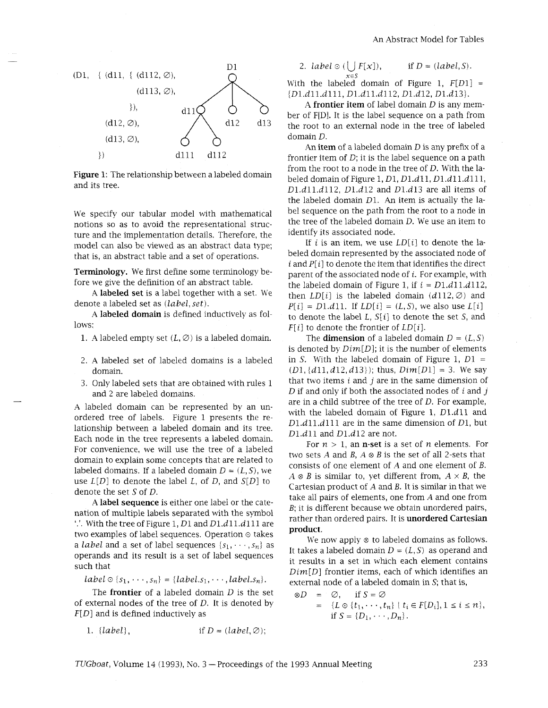

**Figure** *1:* The relationship between a labeled domain and its tree.

We specify our tabular model with mathematical notions so as to avoid the representational structure and the implementation details. Therefore, the model can also be viewed as an abstract data type; that is, an abstract table and a set of operations.

**Terminology.** We first define some terminology before we give the definition of an abstract table.

A **labeled set** is a label together with a set. We denote a labeled set as *(labe1,set).* 

A **labeled domain** is defined inductively as follows:

- 1. A labeled empty set  $(L, \emptyset)$  is a labeled domain.
- *2.* A labeled set of labeled domains is a labeled domain.
- *3.* Only labeled sets that are obtained with rules *1*  and *2* are labeled domains.

A labeled domain can be represented by an unordered tree of labels. Figure *1* presents the relationship between a labeled domain and its tree. Each node in the tree represents a labeled domain. For convenience, we will use the tree of a labeled domain to explain some concepts that are related to labeled domains. If a labeled domain  $D = (L, S)$ , we use *L[Dl* to denote the label L, of *D,* and *S[Dl* to denote the set *S* of *D.* 

**A label sequence** is either one label or the catenation of multiple labels separated with the symbol '.'. With the tree of Figure *1, Dl* and *Dl.dll.dll1* are two examples of label sequences. Operation  $\odot$  takes a *label* and a set of label sequences  $\{s_1, \dots, s_n\}$  as operands and its result is a set of label sequences such that

 $label \circled{s_1, \dots, s_n} = \{label \circled{s_1, \dots, s_n}\}$  =  ${label \circled{s_1, \dots, s_n}\}$ 

The **frontier** of a labeled domain *D* is the set of external nodes of the tree of *D.* It is denoted by *F[D]* and is defined inductively as

1.  $\{label\},$  if  $D = (label, \emptyset);$ 

2. *label* 
$$
\odot
$$
 ( $\bigcup_{n \in \mathbb{N}} F[x]$ ), if  $D = (label, S)$ .

 $x \in S$ <br>With the labeled domain of Figure 1,  $F[D1] =$ *{Dl.dll.dlll, D l . d l l . d l 1 2 , D l . d l 2 , Dl.dl3j.* 

*A* **frontier item** of label domain *D* is any member of F[Dl. It is the label sequence on a path from the root to an external node in the tree of labeled domain D.

An **item** of a labeled domain *D* is any prefix of a frontier item of *D;* it is the label sequence on a path from the root to a node in the tree of *D.* With the labeled domain of Figure *1, Dl, Dl.dl1, Dl.dll.dll1, Dl.dll.dll2, Dl.dl2* and *Dl.dl3* are all items of the labeled domain *Dl.* An item is actually the label sequence on the path from the root to a node in the tree of the labeled domain *D.* We use an item to identify its associated node.

If i is an item, we use  $LD[i]$  to denote the labeled domain represented by the associated node of  $i$  and  $P[i]$  to denote the item that identifies the direct parent of the associated node of  $i$ . For example, with the labeled domain of Figure 1, if  $i = D1.d11.d112$ , then  $LD[i]$  is the labeled domain  $(d112, \emptyset)$  and  $P[i] = D1.d11$ . If  $LD[i] = (L, S)$ , we also use  $L[i]$ to denote the label *L, S[i]* to denote the set *S,* and *F[i]* to denote the frontier of *LD[i].* 

The **dimension** of a labeled domain  $D = (L, S)$ is denoted by *Dim[D];* it is the number of elements in *S*. With the labeled domain of Figure 1,  $D1 =$ *(Dl, idll,d12,d131);* thus, *Dim[D1]* = *3.* We say that two items *i* and *j* are in the same dimension of *D* if and only if both the associated nodes of *i* and *j*  are in a child subtree of the tree of *D.* For example, with the labeled domain of Figure 1, *Dl.dl1* and *Dl.dll.dl11* are in the same dimension of *Dl,* but *Dl.dl1* and *Dl.dl2* are not.

For  $n > 1$ , an **n-set** is a set of *n* elements. For two sets A and *B,* A *8 B* is the set of all 2-sets that consists of one element of A and one element of *B.*   $A \otimes B$  is similar to, yet different from,  $A \times B$ , the Cartesian product of A and *B.* It is similar in that we take all pairs of elements, one from A and one from *B;* it is different because we obtain unordered pairs, rather than ordered pairs. It is **unordered Cartesian product.** 

We now apply  $\otimes$  to labeled domains as follows. It takes a labeled domain  $D = (L, S)$  as operand and it results in a set in which each element contains *Dim[D]* frontier items, each of which identifies an external node of a labeled domain in *S;* that is,

 $\otimes D = \emptyset$ , if  $S = \emptyset$  $=$   $\{L \odot \{t_1, \dots, t_n\} \mid t_i \in F[D_i], 1 \leq i \leq n\},\$ if  $S = \{D_1, \dots, D_n\}$ .

*TUGboat,* Volume *14 (1993),* No. *3* -Proceedings of the *1993* Annual Meeting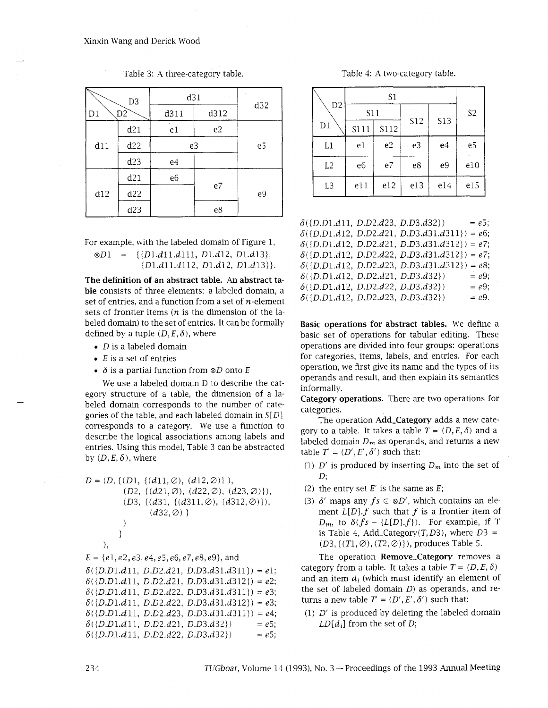| D <sub>3</sub> |                | d31            | d32            |    |
|----------------|----------------|----------------|----------------|----|
| D1             | D <sub>2</sub> |                | d312<br>d311   |    |
|                | d21            | e1             | e <sub>2</sub> |    |
| d11            | d22            | e3             | e5             |    |
|                | d23            | e4             |                |    |
|                | d21            | e <sub>6</sub> |                |    |
| d12            | d22            |                | e7             | e9 |
|                | d23            |                | e8             |    |

Table *3:* A three-category table.

For example, with the labeled domain of Figure *1, Dl* = *{{Dl.dll.dlll, Dl.dl2, Dl.d13}, iDl.dll.dll2, Dl.dl2, Dl.dl3)j.* 

**The definition of an abstract table. An abstract table** consists of three elements: a labeled domain, a set of entries, and a function from a set of  $n$ -element sets of frontier items  $(n$  is the dimension of the labeled domain) to the set of entries. It can be formally defined by a tuple  $(D, E, \delta)$ , where

- *D* is a labeled domain
- $\bullet$  E is a set of entries
- $\bullet$   $\delta$  is a partial function from  $\otimes D$  onto E

We use a labeled domain D to describe the category structure of a table, the dimension of a labeled domain corresponds to the number of categories of the table, and each labeled domain in *S[Dl*  corresponds to a category. We use a function to describe the logical associations among labels and entries. Using this model, Table 3 can be abstracted by  $(D, E, \delta)$ , where

$$
D = (D, \{(D1, \{(d11, \emptyset), (d12, \emptyset)\}), (D2, \{(d21, \emptyset), (d22, \emptyset), (d23, \emptyset)\}), (D3, \{(d31, \{(d311, \emptyset), (d312, \emptyset)\}), (d32, \emptyset)\}, (d32, \emptyset)\}
$$
\n  
\n
$$
\}
$$
\n
$$
E = \{e1, e2, e3, e4, e5, e6, e7, e8, e9\}, and
$$
\n
$$
\delta(\{D.D1.d11, D.D2.d21, D.D3.d31.d311\}) = e1;
$$
\n
$$
\delta(\{D.D1.d11, D.D2.d21, D.D3.d31.d312\}) = e2;
$$
\n
$$
\delta(\{D.D1.d11, D.D2.d22, D.D3.d31.d311\}) = e3;
$$
\n
$$
\delta(\{D.D1.d11, D.D2.d22, D.D3.d31.d312\}) = e3;
$$
\n
$$
\delta(\{D.D1.d11, D.D2.d23, D.D3.d31.d311\}) = e4;
$$

 $\delta({D.D1.d11, D.D2.d21, D.D3.d32})$  = *e5*;  $\delta({D.D1.d11, D.D2.d22, D.D3.d32}) = e5;$ 

|                                                                                            |                  | Table 4: A two-category table. |            |            |                |
|--------------------------------------------------------------------------------------------|------------------|--------------------------------|------------|------------|----------------|
|                                                                                            |                  | $\mbox{S1}$                    |            |            |                |
| $\mathbf{D}2$<br>$\mathbf{D}1$                                                             | S11              |                                | <b>S12</b> | <b>S13</b> | S <sub>2</sub> |
| $\mathop{\mathrm{L1}}$                                                                     | S111<br>$\rm e1$ | <b>S112</b><br>$\mathsf{e}2$   | $\rm e3$   | e4         | $\rm e5$       |
| $\mathbf{L}2$                                                                              | $\rm e6$         | $\rm e7$                       | $\rm e8$   | $\rm e9$   | $\rm e10$      |
| $\mathbf{L}3$                                                                              | e11              | $\rm e12$                      | e13        | $\rm e14$  | ${\tt e}15$    |
| (D.D1.d11, D.D2.d23, D.D3.d32)                                                             |                  |                                |            |            | $= e5;$        |
| $(D.D1.d12, D.D2.d21, D.D3.d31.d311) = e6;$<br>$(D.D1.d12, D.D2.d21, D.D3.d31.d312) = e7;$ |                  |                                |            |            |                |
| $(D \ D1 \ d12 \ D \ D2 \ d22 \ D \ D3 \ d31 \ d312) = e7$                                 |                  |                                |            |            |                |

 $\delta({D.D1.d12, D.D2.d23, D.D3.d31.d312}) = e8;$  $\delta({D.D1.d12, D.D2.d21, D.D3.d32})$  $= e9$ ;  $\delta({D.D1.d12, D.D2.d22, D.D3.d32})$  $= e9$ ;  $\delta([D.D1.d12, D.D2.d23, D.D3.d32])$  $=$  e9.

**Basic operations for abstract tables.** We define a basic set of operations for tabular editing. These operations are divided into four groups: operations for categories, items, labels, and entries. For each operation, we first give its name and the types of its operands and result, and then explain its semantics informally.

**Category operations.** There are two operations for categories.

The operation **Add-Category** adds a new category to a table. It takes a table  $T = (D, E, \delta)$  and a labeled domain  $D_m$  as operands, and returns a new table  $T' = (D', E', \delta')$  such that:

- (1)  $D'$  is produced by inserting  $D_m$  into the set of *D;*
- *(2)* the entry set  $E'$  is the same as  $E$ ;
- (3)  $\delta'$  maps any  $fs \in \otimes D'$ , which contains an element  $L[D].f$  such that  $f$  is a frontier item of  $D_m$ , to  $\delta(fs - \{L[D], f\})$ . For example, if T is Table 4, Add\_Category( $T$ ,  $D3$ ), where  $D3 =$ *(D3, {(T1,* ∅)*, (T2,* ∅)*}*)*, produces Table 5.*

The operation **Remove-Category** removes a category from a table. It takes a table  $T = (D, E, \delta)$ and an item  $d_i$  (which must identify an element of the set of labeled domain *D)* as operands, and returns a new table  $T' = (D', E', \delta')$  such that:

*(1) D'* is produced by deleting the labeled domain *LD[d,]* from the set of *D;*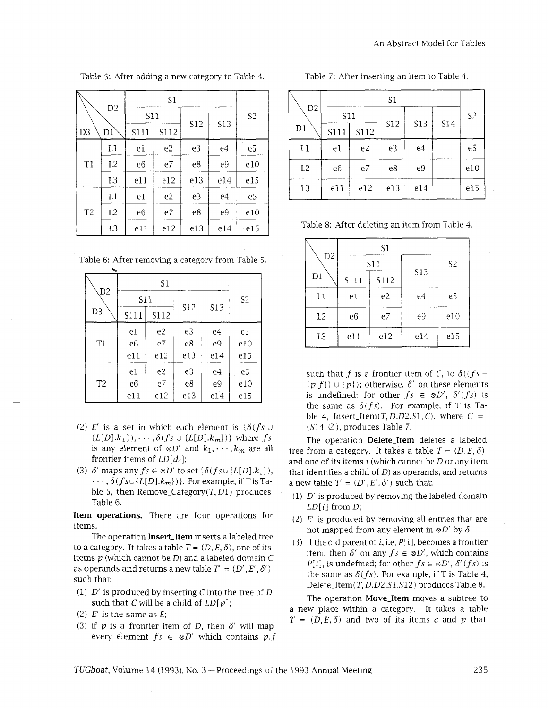| N              |                |                |      |                |            |                |  |
|----------------|----------------|----------------|------|----------------|------------|----------------|--|
|                | D <sub>2</sub> | S11            |      |                |            | S <sub>2</sub> |  |
| D <sub>3</sub> | D1             | S111           | S112 | <b>S12</b>     | <b>S13</b> |                |  |
|                | L1             | e1             | e2   | e <sub>3</sub> | e4         | e <sub>5</sub> |  |
| T1             | L2             | e <sub>6</sub> | e7   | e8             | e9         | e10            |  |
|                | L <sub>3</sub> | e11            | e12  | e13            | e14        | e15            |  |
|                | L1             | e1             | e2   | e3             | e4         | e5             |  |
| T <sub>2</sub> | L2             | e6             | e7   | e8             | e9         | e10            |  |
|                | L <sub>3</sub> | e11            | e12  | e13            | e14        | e15            |  |

Table 5: After adding a new category to Table 4.

Table 6: After removing a category from Table *5.* 

| ক              |      |                |     |                |                |  |  |
|----------------|------|----------------|-----|----------------|----------------|--|--|
|                |      | S1             |     |                |                |  |  |
| D <sub>2</sub> | S11  |                |     |                | S <sub>2</sub> |  |  |
| D <sub>3</sub> | S111 | S112           | S12 | <b>S13</b>     |                |  |  |
|                | e1   | e <sub>2</sub> | e3  | e4             | e5             |  |  |
| T <sub>1</sub> | e6   | e7             | e8  | e <sub>9</sub> | e10            |  |  |
|                | e11  | e12            | e13 | e14            | e15            |  |  |
|                | e1   | e2             | e3  | e4             | e5             |  |  |
| T <sub>2</sub> | e6   | e7             | e8  | e9             | e10            |  |  |
|                | e11  | e12            | e13 | e14            | e15            |  |  |

- (2) E' is a set in which each element is  $\{\delta(f s)$  ${L[D].k_1}, \cdots, \delta(fs \cup {L[D].k_m)})$  where fs is any element of  $\otimes D'$  and  $k_1, \dots, k_m$  are all frontier items of  $LD[d_i]$ ;
- (3)  $\delta'$  maps any  $fs \in \otimes D'$  to set  $\{\delta(fs \cup \{L[D], k_1\}),\}$  $\cdots$ ,  $\delta(f_{\mathcal{S}}\cup\{L[D],k_m\})\}$ . For example, if T is Table 5, then Remove\_Category $(T, D1)$  produces Table 6.

Item operations. There are four operations for items.

The operation Insert\_Item inserts a labeled tree to a category. It takes a table  $T = (D, E, \delta)$ , one of its items **p** (whch cannot be *D)* and a labeled domain C as operands and returns a new table  $T' = (D', E', \delta')$ such that:

- (1)  $D'$  is produced by inserting C into the tree of D such that C will be a child of  $LD[p]$ ;
- (2)  $E'$  is the same as  $E$ ;
- (3) if  $p$  is a frontier item of  $D$ , then  $\delta'$  will map every element  $fs \in \otimes D'$  which contains  $p.f$

| Table 7: After inserting an item to Table 4. |  |
|----------------------------------------------|--|
|                                              |  |

|                | D <sub>2</sub><br>S11 |                |            |     |     | S <sub>2</sub> |
|----------------|-----------------------|----------------|------------|-----|-----|----------------|
| D1             | S111                  | S112           | <b>S12</b> | S13 | S14 |                |
| L1             | e1                    | e <sub>2</sub> | e3         | e4  |     | e5             |
| L2             | e <sub>6</sub>        | e7             | e8         | e9  |     | e10            |
| L <sub>3</sub> | e11                   | e12            | e13        | e14 |     | e15            |

Table 8: After deleting an item from Table 4.

| D <sub>2</sub> |      | S11  |     | S <sub>2</sub> |  |
|----------------|------|------|-----|----------------|--|
| D1             | S111 | S112 | S13 |                |  |
| L1             | e1   | e2   | e4  | e5             |  |
| L <sub>2</sub> | e6   | e7   | e9  | e10            |  |
| L <sub>3</sub> | e11  | e12  | e14 | e15            |  |

such that f is a frontier item of C, to  $\delta((fs {p.f}$ )  $\cup$  {p}); otherwise,  $\delta'$  on these elements is undefined; for other  $fs \in \otimes D'$ ,  $\delta'(fs)$  is the same as  $\delta(fs)$ . For example, if T is Table 4, Insert\_Item(T, D.D2.S1, C), where  $C =$  $(S14, \emptyset)$ , produces Table 7.

The operation Delete\_Item deletes a labeled tree from a category. It takes a table  $T = (D, E, \delta)$ and one of its items  $i$  (which cannot be  $D$  or any item that identifies a child of  $D$ ) as operands, and returns a new table  $T' = (D', E', \delta')$  such that:

- (1)  $D'$  is produced by removing the labeled domain  $LD[i]$  from  $D;$
- (2)  $E'$  is produced by removing all entries that are not mapped from any element in  $\otimes D'$  by  $\delta$ ;
- (3) if the old parent of i, i.e,  $P[i]$ , becomes a frontier item, then  $\delta'$  on any  $fs \in \otimes D'$ , which contains  $P[i]$ , is undefined; for other  $fs \in \otimes D'$ ,  $\delta'(fs)$  is the same as  $\delta(f_s)$ . For example, if T is Table 4, Delete\_Item(T, D.D2.S1.S12) produces Table 8.

The operation Move\_Item moves a subtree to a new place within a category. It takes a table  $T = (D, E, \delta)$  and two of its items c and p that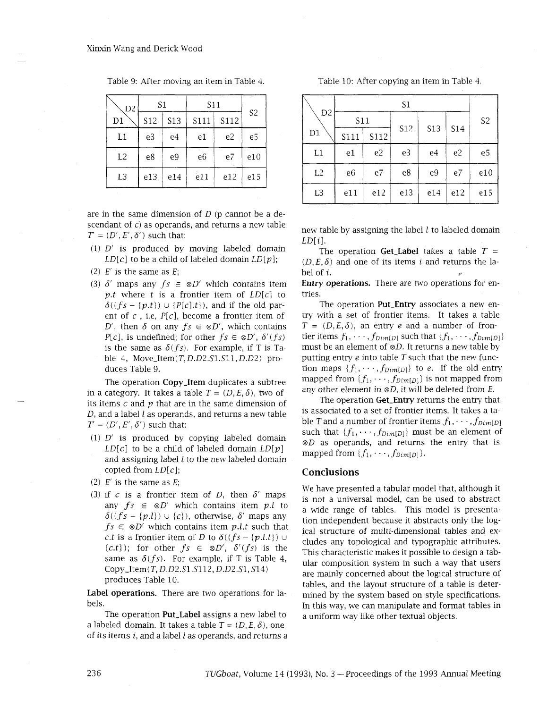| D2 | S1  |                 | S11            | S <sub>2</sub> |                |
|----|-----|-----------------|----------------|----------------|----------------|
| D1 | S12 | S <sub>13</sub> | S111           | S112           |                |
| L1 | e3  | e4              | e1             | e <sub>2</sub> | e <sub>5</sub> |
| L2 | e8  | e9              | e <sub>6</sub> | e7             | e10            |
| L3 | e13 | e14             | e11            | e12            | e15            |

Table 9: After moving an item in Table 4.

are in the same dimension of  $D$  (p cannot be a descendant of  $\hat{c}$ ) as operands, and returns a new table  $T = (D', E', \delta')$  such that:

- (1) D' is produced by moving labeled domain  $LD[c]$  to be a child of labeled domain  $LD[p]$ ;
- (2)  $E'$  is the same as  $E$ ;
- (3)  $\delta'$  maps any  $fs \in \otimes D'$  which contains item p.t where t is a frontier item of  $LD[c]$  to  $\delta((fs - \{p.t\}) \cup \{P[c].t\})$ , and if the old parent of  $c$ , i.e,  $P[c]$ , become a frontier item of D', then  $\delta$  on any  $fs \in \otimes D'$ , which contains  $P[c]$ , is undefined; for other  $fs \in \otimes D'$ ,  $\delta'(fs)$ is the same as  $\delta(f_s)$ . For example, if T is Table 4, Move\_Item $(T, D.D2.S1.S11, D.D2)$  produces Table 9.

The operation **Copy-Item** duplicates a subtree in a category. It takes a table  $T = (D, E, \delta)$ , two of its items  $c$  and  $p$  that are in the same dimension of  $D$ , and a label  $l$  as operands, and returns a new table  $T' = (D', E', \delta')$  such that:

- (1)  $D'$  is produced by copying labeled domain  $LD[c]$  to be a child of labeled domain  $LD[p]$ and assigning label  $l$  to the new labeled domain copied from  $LD[c]$ ;
- (2)  $E'$  is the same as  $E$ ;
- (3) if c is a frontier item of D, then  $\delta'$  maps any  $fs \in \otimes D'$  which contains item p.l to  $\delta((fs - \{p,l\}) \cup \{c\})$ , otherwise,  $\delta'$  maps any  $fs \in \otimes D'$  which contains item *p.l.t* such that *c.t* is a frontier item of D to  $\delta((fs - \{p.l.t\})$  $\{c.t\}$ ; for other  $fs \in \otimes D'$ ,  $\delta'(fs)$  is the same as  $\delta(f_s)$ . For example, if T is Table 4,  $Copy_Item(T, D.D2.S1.S112, D.D2.S1, S14)$ produces Table 10.

**Label operations.** There are two operations for labels.

The operation **Put-Label** assigns a new label to a labeled domain. It takes a table  $T = (D, E, \delta)$ , one of its items  $i$ , and a label  $l$  as operands, and returns a Table 10: After copying an item in Table 4.

| D <sub>2</sub> | <b>S11</b>     |                | <b>S12</b> | <b>S13</b>     |                | S <sub>2</sub> |
|----------------|----------------|----------------|------------|----------------|----------------|----------------|
| $_{\rm D1}$    | S111           | S112           |            |                | S14            |                |
| L1             | e1             | e <sub>2</sub> | e3         | e <sub>4</sub> | e <sub>2</sub> | e5             |
| L2             | e <sub>6</sub> | e7             | e8         | e9             | e7             | e10            |
| L3             | e11            | e12            | e13        | e14            | e12            | e15            |

new table by assigning the label  $l$  to labeled domain  $LD[i]$ .

The operation **Get\_Label** takes a table  $T =$  $(D, E, \delta)$  and one of its items i and returns the label of i.

**Entry operations.** There are two operations for entries.

The operation **Put-Entry** associates a new entry with a set of frontier items. It takes a table  $T = (D, E, \delta)$ , an entry *e* and a number of frontier items  $f_1, \dots, f_{Dim[D]}$  such that  $\{f_1, \dots, f_{Dim[D]}\}$ must be an element of  $\otimes D$ . It returns a new table by putting entry  $e$  into table  $T$  such that the new function maps  $\{f_1, \dots, f_{Dim[D]}\}\$  to e. If the old entry mapped from  $\{f_1, \dots, f_{Dim[D]}\}\$ is not mapped from any other element in  $\otimes D$ , it will be deleted from E.

The operation **Get-Entry** returns the entry that is associated to a set of frontier items. It takes a table T and a number of frontier items  $f_1, \dots, f_{Dim[D]}$ such that  $\{f_1, \dots, f_{Dim[D]}\}\$  must be an element of  $\otimes$ D as operands, and returns the entry that is mapped from  $\{f_1, \cdots, f_{Dim[D]}\}.$ 

## **Conclusions**

We have presented a tabular model that, although it is not a universal model, can be used to abstract a wide range of tables. This model is presentation independent because it abstracts only the logical structure of multi-dimensional tables and excludes any topological and typographic attributes. This characteristic makes it possible to design a tabular composition system in such a way that users are mainly concerned about the logical structure of tables, and the layout structure of a table is determined by the system based on style specifications. In this way, we can manipulate and format tables in a uniform way like other textual objects.